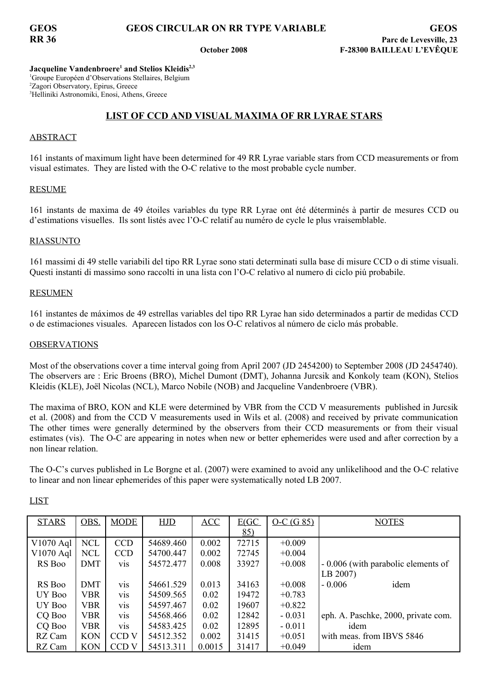**Jacqueline Vandenbroere 1 and Stelios Kleidis 2,3** <sup>1</sup>Groupe Européen d'Observations Stellaires, Belgium <sup>2</sup>Zagori Observatory, Epirus, Greece <sup>3</sup>Helliniki Astronomiki, Enosi, Athens, Greece

# **LIST OF CCD AND VISUAL MAXIMA OF RR LYRAE STARS**

## ABSTRACT

161 instants of maximum light have been determined for 49 RR Lyrae variable stars from CCD measurements or from visual estimates. They are listed with the O-C relative to the most probable cycle number.

## RESUME

161 instants de maxima de 49 étoiles variables du type RR Lyrae ont été déterminés à partir de mesures CCD ou d'estimations visuelles. Ils sont listés avec l'O-C relatif au numéro de cycle le plus vraisemblable.

## RIASSUNTO

161 massimi di 49 stelle variabili del tipo RR Lyrae sono stati determinati sulla base di misure CCD o di stime visuali. Questi instanti di massimo sono raccolti in una lista con l'O-C relativo al numero di ciclo piú probabile.

### RESUMEN

161 instantes de máximos de 49 estrellas variables del tipo RR Lyrae han sido determinados a partir de medidas CCD o de estimaciones visuales. Aparecen listados con los O-C relativos al número de ciclo más probable.

### **OBSERVATIONS**

Most of the observations cover a time interval going from April 2007 (JD 2454200) to September 2008 (JD 2454740). The observers are : Eric Broens (BRO), Michel Dumont (DMT), Johanna Jurcsik and Konkoly team (KON), Stelios Kleidis (KLE), Joël Nicolas (NCL), Marco Nobile (NOB) and Jacqueline Vandenbroere (VBR).

The maxima of BRO, KON and KLE were determined by VBR from the CCD V measurements published in Jurcsik et al. (2008) and from the CCD V measurements used in Wils et al. (2008) and received by private communication The other times were generally determined by the observers from their CCD measurements or from their visual estimates (vis). The O-C are appearing in notes when new or better ephemerides were used and after correction by a non linear relation.

The O-C's curves published in Le Borgne et al. (2007) were examined to avoid any unlikelihood and the O-C relative to linear and non linear ephemerides of this paper were systematically noted LB 2007.

| <b>STARS</b> | OBS.       | <b>MODE</b>      | HJD       | ACC    | E(GC) | $O-C(G 85)$ | <b>NOTES</b>                        |
|--------------|------------|------------------|-----------|--------|-------|-------------|-------------------------------------|
|              |            |                  |           |        | 85)   |             |                                     |
| V1070 Aql    | <b>NCL</b> | <b>CCD</b>       | 54689.460 | 0.002  | 72715 | $+0.009$    |                                     |
| V1070 Aql    | <b>NCL</b> | <b>CCD</b>       | 54700.447 | 0.002  | 72745 | $+0.004$    |                                     |
| RS Boo       | DMT        | vis              | 54572.477 | 0.008  | 33927 | $+0.008$    | - 0.006 (with parabolic elements of |
|              |            |                  |           |        |       |             | LB 2007)                            |
| RS Boo       | DMT        | <b>VIS</b>       | 54661.529 | 0.013  | 34163 | $+0.008$    | idem<br>$-0.006$                    |
| UY Boo       | VBR.       | <b>VIS</b>       | 54509.565 | 0.02   | 19472 | $+0.783$    |                                     |
| UY Boo       | <b>VBR</b> | vis              | 54597.467 | 0.02   | 19607 | $+0.822$    |                                     |
| CQ Boo       | <b>VBR</b> | vis              | 54568.466 | 0.02   | 12842 | $-0.031$    | eph. A. Paschke, 2000, private com. |
| CQ Boo       | <b>VBR</b> | vis              | 54583.425 | 0.02   | 12895 | $-0.011$    | idem                                |
| RZ Cam       | <b>KON</b> | CCD <sub>V</sub> | 54512.352 | 0.002  | 31415 | $+0.051$    | with meas. from IBVS 5846           |
| RZ Cam       | <b>KON</b> | CCD <sub>V</sub> | 54513.311 | 0.0015 | 31417 | $+0.049$    | idem                                |

LIST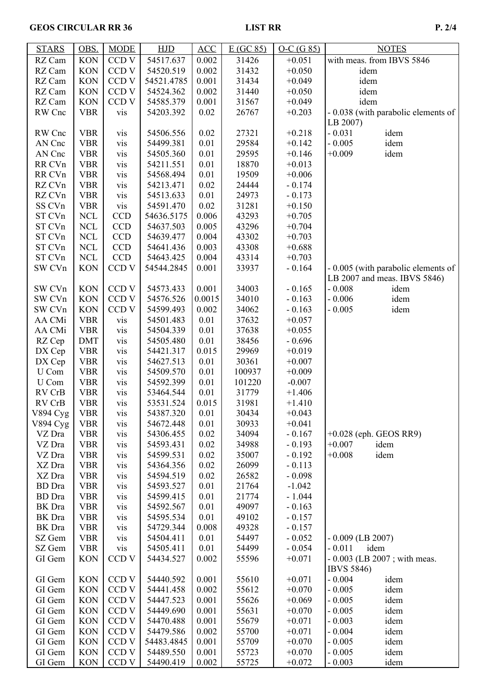# GEOS CIRCULAR RR 36 LIST RR P. 2/4

| <b>STARS</b>                | OBS.       | <b>MODE</b>       | <b>HJD</b> | ACC    | E(GC 85) | $O-C(G 85)$ | <b>NOTES</b>                        |
|-----------------------------|------------|-------------------|------------|--------|----------|-------------|-------------------------------------|
| RZ Cam                      | <b>KON</b> | CCD <sub>V</sub>  | 54517.637  | 0.002  | 31426    | $+0.051$    | with meas. from IBVS 5846           |
| RZ Cam                      | <b>KON</b> | CCD V             | 54520.519  | 0.002  | 31432    | $+0.050$    | idem                                |
| RZ Cam                      | <b>KON</b> | CCD <sub>V</sub>  | 54521.4785 | 0.001  | 31434    | $+0.049$    | idem                                |
| RZ Cam                      | <b>KON</b> | CCD <sub>V</sub>  | 54524.362  | 0.002  | 31440    | $+0.050$    | idem                                |
| RZ Cam                      | <b>KON</b> | CCD <sub>V</sub>  | 54585.379  | 0.001  | 31567    | $+0.049$    | idem                                |
| RW Cnc                      | <b>VBR</b> | vis               | 54203.392  | 0.02   | 26767    | $+0.203$    | - 0.038 (with parabolic elements of |
|                             |            |                   |            |        |          |             | LB 2007)                            |
| RW Cnc                      | <b>VBR</b> | vis               | 54506.556  | 0.02   | 27321    | $+0.218$    | $-0.031$<br>idem                    |
| AN Cnc                      | <b>VBR</b> | vis               | 54499.381  | 0.01   | 29584    | $+0.142$    | $-0.005$<br>idem                    |
| AN Cnc                      | <b>VBR</b> | vis               | 54505.360  | 0.01   | 29595    | $+0.146$    | $+0.009$<br>idem                    |
| RR CVn                      | <b>VBR</b> | vis               | 54211.551  | 0.01   | 18870    | $+0.013$    |                                     |
| RR CVn                      | <b>VBR</b> | vis               | 54568.494  | 0.01   | 19509    | $+0.006$    |                                     |
| RZ CVn                      | <b>VBR</b> | vis               | 54213.471  | 0.02   | 24444    | $-0.174$    |                                     |
| RZ CVn                      | <b>VBR</b> | vis               | 54513.633  | 0.01   | 24973    | $-0.173$    |                                     |
| SS CVn                      | <b>VBR</b> | vis               | 54591.470  | 0.02   | 31281    | $+0.150$    |                                     |
| ST CVn                      | <b>NCL</b> | <b>CCD</b>        | 54636.5175 | 0.006  | 43293    | $+0.705$    |                                     |
| ST CVn                      | <b>NCL</b> | <b>CCD</b>        | 54637.503  | 0.005  | 43296    | $+0.704$    |                                     |
| ST CVn                      | <b>NCL</b> | <b>CCD</b>        | 54639.477  | 0.004  | 43302    | $+0.703$    |                                     |
| ST CVn                      | <b>NCL</b> | <b>CCD</b>        | 54641.436  | 0.003  | 43308    | $+0.688$    |                                     |
| ST CVn                      | <b>NCL</b> | <b>CCD</b>        | 54643.425  | 0.004  | 43314    | $+0.703$    |                                     |
| SW CVn                      | <b>KON</b> | CCD <sub>V</sub>  | 54544.2845 | 0.001  | 33937    | $-0.164$    | - 0.005 (with parabolic elements of |
|                             |            |                   |            |        |          |             | LB 2007 and meas. IBVS 5846)        |
| SW CVn                      | <b>KON</b> | CCD <sub>V</sub>  | 54573.433  | 0.001  | 34003    | $-0.165$    | $-0.008$<br>idem                    |
| SW CVn                      | <b>KON</b> | CCD <sub>V</sub>  | 54576.526  | 0.0015 | 34010    | $-0.163$    | $-0.006$<br>idem                    |
| SW CVn                      | <b>KON</b> | CCD <sub>V</sub>  | 54599.493  | 0.002  | 34062    | $-0.163$    | $-0.005$<br>idem                    |
| AA CMi                      | <b>VBR</b> | vis               | 54501.483  | 0.01   | 37632    | $+0.057$    |                                     |
| AA CMi                      | <b>VBR</b> | vis               | 54504.339  | 0.01   | 37638    | $+0.055$    |                                     |
| RZ Cep                      | <b>DMT</b> | vis               | 54505.480  | 0.01   | 38456    | $-0.696$    |                                     |
| DX Cep                      | <b>VBR</b> | vis               | 54421.317  | 0.015  | 29969    | $+0.019$    |                                     |
| DX Cep                      | <b>VBR</b> |                   | 54627.513  | 0.01   | 30361    | $+0.007$    |                                     |
| U Com                       | <b>VBR</b> | vis<br>vis        | 54509.570  | 0.01   | 100937   | $+0.009$    |                                     |
| U Com                       | <b>VBR</b> | vis               | 54592.399  | 0.01   | 101220   | $-0.007$    |                                     |
| RV CrB                      | <b>VBR</b> | vis               | 53464.544  | 0.01   | 31779    | $+1.406$    |                                     |
| RV CrB                      | <b>VBR</b> | vis               | 53531.524  | 0.015  | 31981    | $+1.410$    |                                     |
|                             | VBR        |                   | 54387.320  | 0.01   | 30434    | $+0.043$    |                                     |
| V894 Cyg<br><b>V894 Cyg</b> | <b>VBR</b> | <b>vis</b><br>vis | 54672.448  | 0.01   | 30933    | $+0.041$    |                                     |
| VZ Dra                      | <b>VBR</b> | vis               | 54306.455  | 0.02   | 34094    | $-0.167$    | $+0.028$ (eph. GEOS RR9)            |
| VZ Dra                      | <b>VBR</b> | vis               | 54593.431  | 0.02   | 34988    | $-0.193$    | $+0.007$<br>idem                    |
| VZ Dra                      | <b>VBR</b> | vis               | 54599.531  | 0.02   | 35007    | $-0.192$    | $+0.008$<br>idem                    |
| XZ Dra                      | <b>VBR</b> | vis               | 54364.356  | 0.02   | 26099    | $-0.113$    |                                     |
| XZ Dra                      | <b>VBR</b> | vis               | 54594.519  | 0.02   | 26582    | $-0.098$    |                                     |
| <b>BD</b> Dra               | <b>VBR</b> | vis               | 54593.527  | 0.01   | 21764    | $-1.042$    |                                     |
| <b>BD</b> Dra               | <b>VBR</b> | vis               | 54599.415  | 0.01   | 21774    | $-1.044$    |                                     |
| BK Dra                      | <b>VBR</b> | vis               | 54592.567  | 0.01   | 49097    | $-0.163$    |                                     |
| BK Dra                      | <b>VBR</b> | vis               | 54595.534  | 0.01   | 49102    | $-0.157$    |                                     |
| BK Dra                      | <b>VBR</b> | vis               | 54729.344  | 0.008  | 49328    | $-0.157$    |                                     |
| SZ Gem                      | <b>VBR</b> | vis               | 54504.411  | 0.01   | 54497    | $-0.052$    | $-0.009$ (LB 2007)                  |
| SZ Gem                      | <b>VBR</b> | vis               | 54505.411  | 0.01   | 54499    | $-0.054$    | $-0.011$<br>idem                    |
| GI Gem                      | <b>KON</b> | CCD <sub>V</sub>  | 54434.527  | 0.002  | 55596    | $+0.071$    | $-0.003$ (LB 2007; with meas.       |
|                             |            |                   |            |        |          |             | <b>IBVS 5846)</b>                   |
| GI Gem                      | <b>KON</b> | CCD V             | 54440.592  | 0.001  | 55610    | $+0.071$    | $-0.004$<br>idem                    |
| GI Gem                      | <b>KON</b> | CCD <sub>V</sub>  | 54441.458  | 0.002  | 55612    | $+0.070$    | $-0.005$<br>idem                    |
| GI Gem                      | <b>KON</b> | CCD <sub>V</sub>  | 54447.523  | 0.001  | 55626    | $+0.069$    | $-0.005$<br>idem                    |
| GI Gem                      | <b>KON</b> | CCD <sub>V</sub>  | 54449.690  | 0.001  | 55631    | $+0.070$    | $-0.005$<br>idem                    |
| GI Gem                      | <b>KON</b> | CCD <sub>V</sub>  | 54470.488  | 0.001  | 55679    | $+0.071$    | $-0.003$<br>idem                    |
| GI Gem                      | <b>KON</b> | CCD <sub>V</sub>  | 54479.586  | 0.002  | 55700    | $+0.071$    | $-0.004$<br>idem                    |
| GI Gem                      | <b>KON</b> | CCD <sub>V</sub>  | 54483.4845 | 0.001  | 55709    | $+0.070$    | $-0.005$<br>idem                    |
| GI Gem                      | <b>KON</b> | CCD <sub>V</sub>  | 54489.550  | 0.001  | 55723    | $+0.070$    | $-0.005$<br>idem                    |
| GI Gem                      | <b>KON</b> | CCD <sub>V</sub>  | 54490.419  | 0.002  | 55725    | $+0.072$    | $-0.003$<br>idem                    |
|                             |            |                   |            |        |          |             |                                     |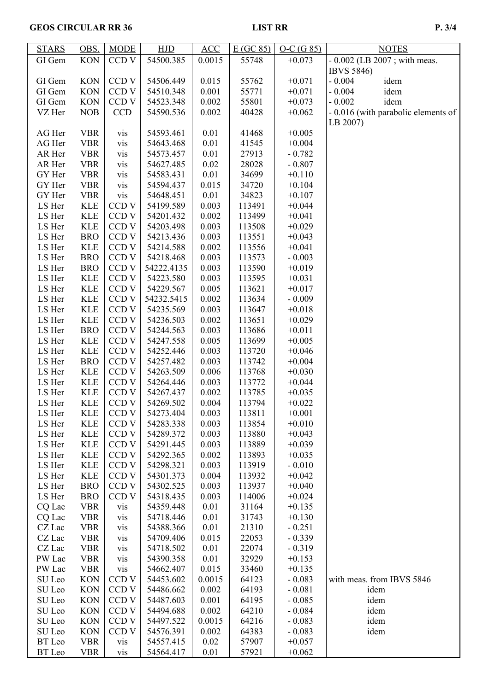| <b>STARS</b> | OBS.       | <b>MODE</b>      | HJD        | ACC    | E(GC 85) | $O-C(G 85)$ | <b>NOTES</b>                        |
|--------------|------------|------------------|------------|--------|----------|-------------|-------------------------------------|
| GI Gem       | <b>KON</b> | CCD <sub>V</sub> | 54500.385  | 0.0015 | 55748    | $+0.073$    | $-0.002$ (LB 2007; with meas.       |
|              |            |                  |            |        |          |             | <b>IBVS 5846)</b>                   |
| GI Gem       | <b>KON</b> | CCD <sub>V</sub> | 54506.449  | 0.015  | 55762    | $+0.071$    | $-0.004$<br>idem                    |
| GI Gem       | <b>KON</b> | CCD <sub>V</sub> | 54510.348  | 0.001  | 55771    | $+0.071$    | $-0.004$<br>idem                    |
| GI Gem       | <b>KON</b> | CCD <sub>V</sub> | 54523.348  | 0.002  | 55801    | $+0.073$    | $-0.002$<br>idem                    |
| VZ Her       | <b>NOB</b> | <b>CCD</b>       | 54590.536  | 0.002  | 40428    | $+0.062$    | - 0.016 (with parabolic elements of |
|              |            |                  |            |        |          |             | LB 2007)                            |
| AG Her       | <b>VBR</b> | vis              | 54593.461  | 0.01   | 41468    | $+0.005$    |                                     |
| AG Her       | <b>VBR</b> | vis              | 54643.468  | 0.01   | 41545    | $+0.004$    |                                     |
| AR Her       | <b>VBR</b> | vis              | 54573.457  | 0.01   | 27913    | $-0.782$    |                                     |
| AR Her       | <b>VBR</b> | vis              | 54627.485  | 0.02   | 28028    | $-0.807$    |                                     |
| GY Her       | <b>VBR</b> | vis              | 54583.431  | 0.01   | 34699    | $+0.110$    |                                     |
| GY Her       | <b>VBR</b> | vis              | 54594.437  | 0.015  | 34720    | $+0.104$    |                                     |
| GY Her       | <b>VBR</b> | vis              | 54648.451  | 0.01   | 34823    | $+0.107$    |                                     |
| LS Her       | <b>KLE</b> | CCD <sub>V</sub> | 54199.589  | 0.003  | 113491   | $+0.044$    |                                     |
| LS Her       | <b>KLE</b> | CCD <sub>V</sub> | 54201.432  | 0.002  | 113499   | $+0.041$    |                                     |
| LS Her       | <b>KLE</b> | CCD <sub>V</sub> | 54203.498  | 0.003  | 113508   | $+0.029$    |                                     |
| LS Her       | <b>BRO</b> | CCD <sub>V</sub> | 54213.436  | 0.003  | 113551   | $+0.043$    |                                     |
| LS Her       | <b>KLE</b> | CCD <sub>V</sub> | 54214.588  | 0.002  | 113556   | $+0.041$    |                                     |
| LS Her       | <b>BRO</b> | CCD <sub>V</sub> | 54218.468  | 0.003  | 113573   | $-0.003$    |                                     |
| LS Her       | <b>BRO</b> | CCD <sub>V</sub> | 54222.4135 | 0.003  | 113590   | $+0.019$    |                                     |
| LS Her       | <b>KLE</b> | CCD <sub>V</sub> | 54223.580  | 0.003  | 113595   | $+0.031$    |                                     |
| LS Her       | <b>KLE</b> | CCD V            | 54229.567  | 0.005  | 113621   | $+0.017$    |                                     |
| LS Her       | <b>KLE</b> | CCD <sub>V</sub> | 54232.5415 | 0.002  | 113634   | $-0.009$    |                                     |
| LS Her       | <b>KLE</b> | CCD V            | 54235.569  | 0.003  | 113647   | $+0.018$    |                                     |
| LS Her       | <b>KLE</b> | CCD <sub>V</sub> | 54236.503  | 0.002  | 113651   | $+0.029$    |                                     |
| LS Her       | <b>BRO</b> | CCD <sub>V</sub> | 54244.563  | 0.003  | 113686   | $+0.011$    |                                     |
| LS Her       | <b>KLE</b> | CCD <sub>V</sub> | 54247.558  | 0.005  | 113699   | $+0.005$    |                                     |
| LS Her       | <b>KLE</b> | CCD <sub>V</sub> | 54252.446  | 0.003  | 113720   | $+0.046$    |                                     |
| LS Her       | <b>BRO</b> | CCD <sub>V</sub> | 54257.482  | 0.003  | 113742   | $+0.004$    |                                     |
| LS Her       | <b>KLE</b> | CCD <sub>V</sub> | 54263.509  | 0.006  | 113768   | $+0.030$    |                                     |
| LS Her       | <b>KLE</b> | CCD <sub>V</sub> | 54264.446  | 0.003  | 113772   | $+0.044$    |                                     |
| LS Her       | <b>KLE</b> | CCD <sub>V</sub> | 54267.437  | 0.002  | 113785   | $+0.035$    |                                     |
| LS Her       | <b>KLE</b> | CCD <sub>V</sub> | 54269.502  | 0.004  | 113794   | $+0.022$    |                                     |
| LS Her       | <b>KLE</b> | CCD <sub>V</sub> | 54273.404  | 0.003  | 113811   | $+0.001$    |                                     |
| LS Her       | <b>KLE</b> | CCD <sub>V</sub> | 54283.338  | 0.003  | 113854   | $+0.010$    |                                     |
| LS Her       | <b>KLE</b> | CCD <sub>V</sub> | 54289.372  | 0.003  | 113880   | $+0.043$    |                                     |
| LS Her       | <b>KLE</b> | CCD <sub>V</sub> | 54291.445  | 0.003  | 113889   | $+0.039$    |                                     |
| LS Her       | <b>KLE</b> | CCD <sub>V</sub> | 54292.365  | 0.002  | 113893   | $+0.035$    |                                     |
| LS Her       | <b>KLE</b> | CCD <sub>V</sub> | 54298.321  | 0.003  | 113919   | $-0.010$    |                                     |
| LS Her       | <b>KLE</b> | CCD <sub>V</sub> | 54301.373  | 0.004  | 113932   | $+0.042$    |                                     |
| LS Her       | <b>BRO</b> | CCD <sub>V</sub> | 54302.525  | 0.003  | 113937   | $+0.040$    |                                     |
| LS Her       | <b>BRO</b> | CCD <sub>V</sub> | 54318.435  | 0.003  | 114006   | $+0.024$    |                                     |
| CQ Lac       | <b>VBR</b> | vis              | 54359.448  | 0.01   | 31164    | $+0.135$    |                                     |
| CQ Lac       | <b>VBR</b> | vis              | 54718.446  | 0.01   | 31743    | $+0.130$    |                                     |
| CZ Lac       | <b>VBR</b> | vis              | 54388.366  | 0.01   | 21310    | $-0.251$    |                                     |
| CZ Lac       | <b>VBR</b> | vis              | 54709.406  | 0.015  | 22053    | $-0.339$    |                                     |
| CZ Lac       | <b>VBR</b> | vis              | 54718.502  | 0.01   | 22074    | $-0.319$    |                                     |
| PW Lac       | <b>VBR</b> | vis              | 54390.358  | 0.01   | 32929    | $+0.153$    |                                     |
| PW Lac       | <b>VBR</b> | vis              | 54662.407  | 0.015  | 33460    | $+0.135$    |                                     |
| SU Leo       | <b>KON</b> | CCD <sub>V</sub> | 54453.602  | 0.0015 | 64123    | $-0.083$    | with meas. from IBVS 5846           |
| SU Leo       | <b>KON</b> | CCD <sub>V</sub> | 54486.662  | 0.002  | 64193    | $-0.081$    | idem                                |
| SU Leo       | <b>KON</b> | CCD <sub>V</sub> | 54487.603  | 0.001  | 64195    | $-0.085$    | idem                                |
| SU Leo       | <b>KON</b> | CCD <sub>V</sub> | 54494.688  | 0.002  | 64210    | $-0.084$    | idem                                |
| SU Leo       | <b>KON</b> | CCD <sub>V</sub> | 54497.522  | 0.0015 | 64216    | $-0.083$    | idem                                |
| SU Leo       | <b>KON</b> | CCD <sub>V</sub> | 54576.391  | 0.002  | 64383    | $-0.083$    | idem                                |
| BT Leo       | <b>VBR</b> | vis              | 54557.415  | 0.02   | 57907    | $+0.057$    |                                     |
| BT Leo       | <b>VBR</b> | vis              | 54564.417  | 0.01   | 57921    | $+0.062$    |                                     |